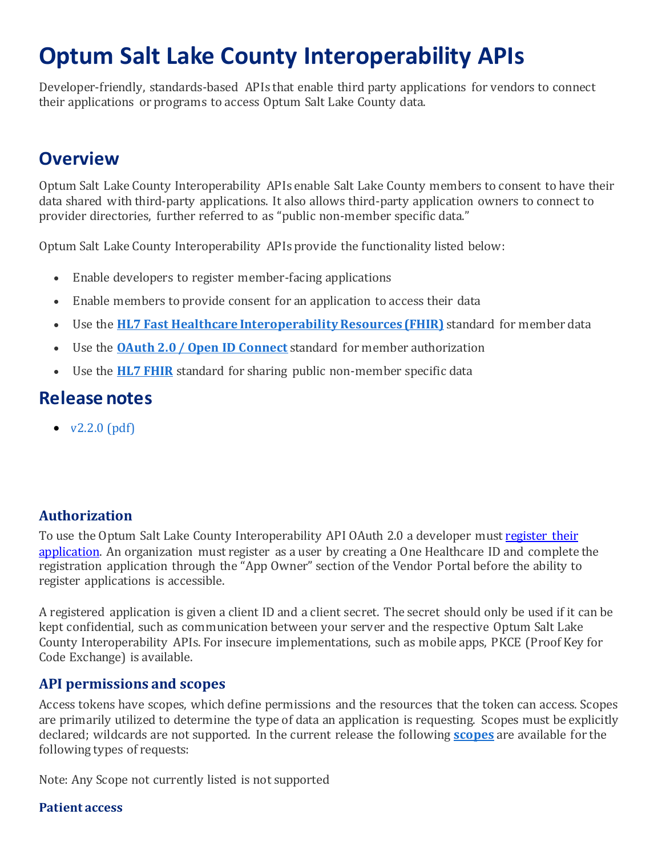# **Optum Salt Lake County Interoperability APIs**

Developer-friendly, standards-based APIs that enable third party applications for vendors to connect their applications or programs to access Optum Salt Lake County data.

## **Overview**

Optum Salt Lake County Interoperability APIs enable Salt Lake County members to consent to have their data shared with third-party applications. It also allows third-party application owners to connect to provider directories, further referred to as "public non-member specific data."

Optum Salt Lake County Interoperability APIs provide the functionality listed below:

- Enable developers to register member-facing applications
- Enable members to provide consent for an application to access their data
- Use the **HL7 Fast Healthcare Interoperability Resources (FHIR)** standard for member data
- Use the **[OAuth 2.0 / Open ID Connect](https://oauth.net/2/)** standard for member authorization
- Use the **[HL7 FHIR](https://www.hl7.org/fhir/)** standard for sharing public non-member specific data

## **Release notes**

 $\bullet$  v2.2.0 (pdf)

## **Authorization**

To use the Optum Salt Lake County Interoperability API OAuth 2.0 a developer must [register their](https://portal.saltlake.flexobh.optum.com/)  [application.](https://portal.saltlake.flexobh.optum.com/) An organization must register as a user by creating a One Healthcare ID and complete the registration application through the "App Owner" section of the Vendor Portal before the ability to register applications is accessible.

A registered application is given a client ID and a client secret. The secret should only be used if it can be kept confidential, such as communication between your server and the respective Optum Salt Lake County Interoperability APIs. For insecure implementations, such as mobile apps, PKCE (Proof Key for Code Exchange) is available.

#### **API permissions and scopes**

Access tokens have scopes, which define permissions and the resources that the token can access. Scopes are primarily utilized to determine the type of data an application is requesting. Scopes must be explicitly declared; wildcards are not supported. In the current release the following **[scopes](http://hl7.org/fhir/smart-app-launch/scopes-and-launch-context/index.html)** are available for the following types of requests:

Note: Any Scope not currently listed is not supported

#### **Patient access**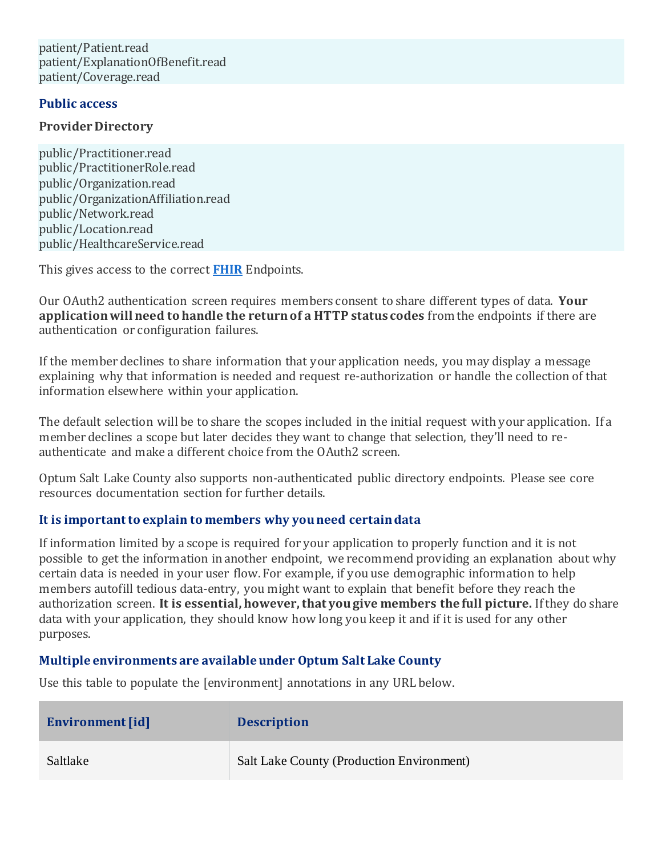patient/Patient.read patient/ExplanationOfBenefit.read patient/Coverage.read

#### **Public access**

#### **Provider Directory**

public/Practitioner.read public/PractitionerRole.read public/Organization.read public/OrganizationAffiliation.read public/Network.read public/Location.read public/HealthcareService.read

This gives access to the correct **[FHIR](https://www.hl7.org/fhir/overview.html)** Endpoints.

Our OAuth2 authentication screen requires members consent to share different types of data. **Your application will need to handle the return of a HTTP status codes** from the endpoints if there are authentication or configuration failures.

If the member declines to share information that your application needs, you may display a message explaining why that information is needed and request re-authorization or handle the collection of that information elsewhere within your application.

The default selection will be to share the scopes included in the initial request with your application. If a member declines a scope but later decides they want to change that selection, they'll need to reauthenticate and make a different choice from the OAuth2 screen.

Optum Salt Lake County also supports non-authenticated public directory endpoints. Please see core resources documentation section for further details.

#### **It is important to explain to members why you need certain data**

If information limited by a scope is required for your application to properly function and it is not possible to get the information in another endpoint, we recommend providing an explanation about why certain data is needed in your user flow. For example, if you use demographic information to help members autofill tedious data-entry, you might want to explain that benefit before they reach the authorization screen. **It is essential, however, that you give members the full picture.** If they do share data with your application, they should know how long you keep it and if it is used for any other purposes.

#### **Multiple environments are available under Optum Salt Lake County**

Use this table to populate the [environment] annotations in any URL below.

| Environment [id] | <b>Description</b>                               |
|------------------|--------------------------------------------------|
| Saltlake         | <b>Salt Lake County (Production Environment)</b> |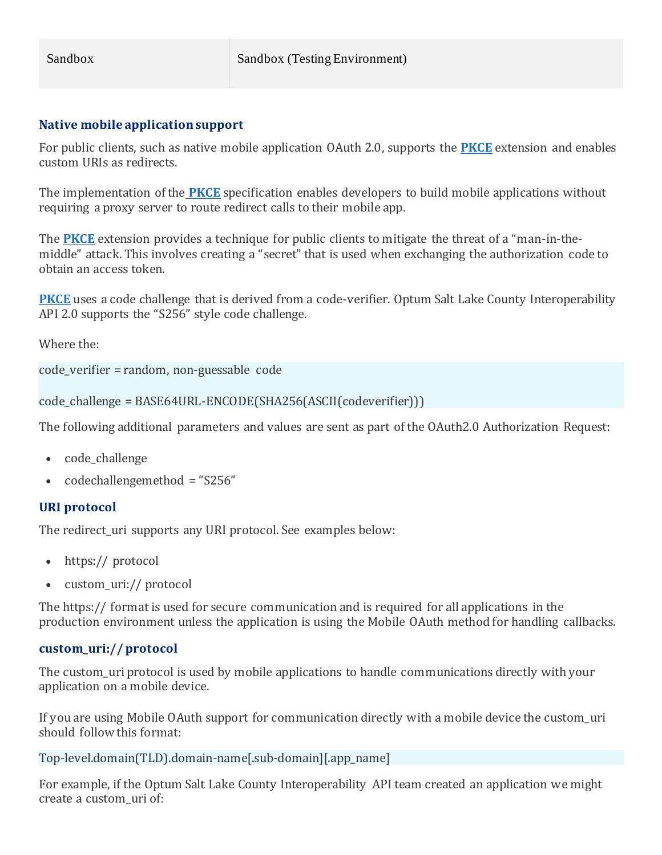#### **Native mobile application support**

For public clients, such as native mobile application OAuth 2.0, supports the **[PKCE](https://tools.ietf.org/html/rfc7636)** extension and enables custom URIs as redirects.

The implementation of the **[PKCE](https://tools.ietf.org/html/rfc7636)** specification enables developers to build mobile applications without requiring a proxy server to route redirect calls to their mobile app.

The **[PKCE](https://tools.ietf.org/html/rfc7636)** extension provides a technique for public clients to mitigate the threat of a "man-in-themiddle" attack. This involves creating a "secret" that is used when exchanging the authorization code to obtain an access token.

**[PKCE](https://tools.ietf.org/html/rfc7636)** uses a code challenge that is derived from a code-verifier. Optum Salt Lake County Interoperability API 2.0 supports the "S256" style code challenge.

Where the:

```
code_verifier = random, non-guessable code
```

```
code_challenge = BASE64URL-ENCODE(SHA256(ASCII(codeverifier)))
```
The following additional parameters and values are sent as part of the OAuth2.0 Authorization Request:

- code challenge
- codechallengemethod = "S256"

#### **URI protocol**

The redirect uri supports any URI protocol. See examples below:

- https:// protocol
- custom uri:// protocol

The https:// format is used for secure communication and is required for all applications in the production environment unless the application is using the Mobile OAuth method for handling callbacks.

#### **custom\_uri:// protocol**

The custom uri protocol is used by mobile applications to handle communications directly with your application on a mobile device.

If you are using Mobile OAuth support for communication directly with a mobile device the custom\_uri should follow this format:

Top-level.domain(TLD).domain-name[.sub-domain][.app\_name]

For example, if the Optum Salt Lake County Interoperability API team created an application we might create a custom\_uri of: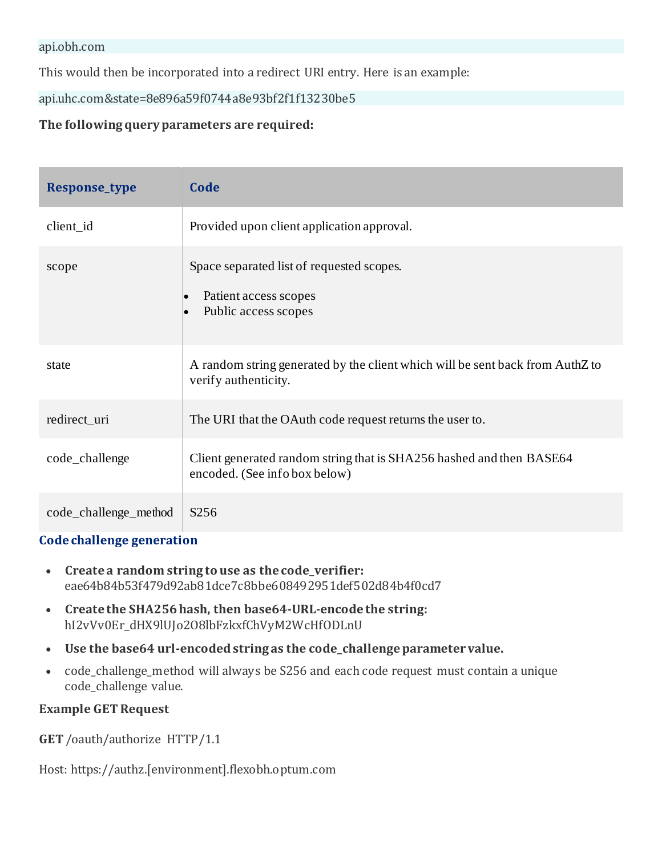This would then be incorporated into a redirect URI entry. Here is an example:

api.uhc.com&state=8e896a59f0744a8e93bf2f1f13230be5

#### **The following query parameters are required:**

| <b>Response_type</b>  | Code                                                                                                                 |
|-----------------------|----------------------------------------------------------------------------------------------------------------------|
| client_id             | Provided upon client application approval.                                                                           |
| scope                 | Space separated list of requested scopes.<br>Patient access scopes<br>$\bullet$<br>Public access scopes<br>$\bullet$ |
| state                 | A random string generated by the client which will be sent back from AuthZ to<br>verify authenticity.                |
| redirect_uri          | The URI that the OAuth code request returns the user to.                                                             |
| code_challenge        | Client generated random string that is SHA256 hashed and then BASE64<br>encoded. (See info box below)                |
| code_challenge_method | S <sub>256</sub>                                                                                                     |

#### **Code challenge generation**

- **Create a random string to use as the code\_verifier:** eae64b84b53f479d92ab81dce7c8bbe608492951def502d84b4f0cd7
- **Create the SHA256 hash, then base64-URL-encode the string:** hI2vVv0Er\_dHX9lUJo2O8lbFzkxfChVyM2WcHfODLnU
- **Use the base64 url-encoded string as the code\_challenge parameter value.**
- code\_challenge\_method will always be S256 and each code request must contain a unique code\_challenge value.

#### **Example GET Request**

**GET** /oauth/authorize HTTP/1.1

Host: https://authz.[environment].flexobh.optum.com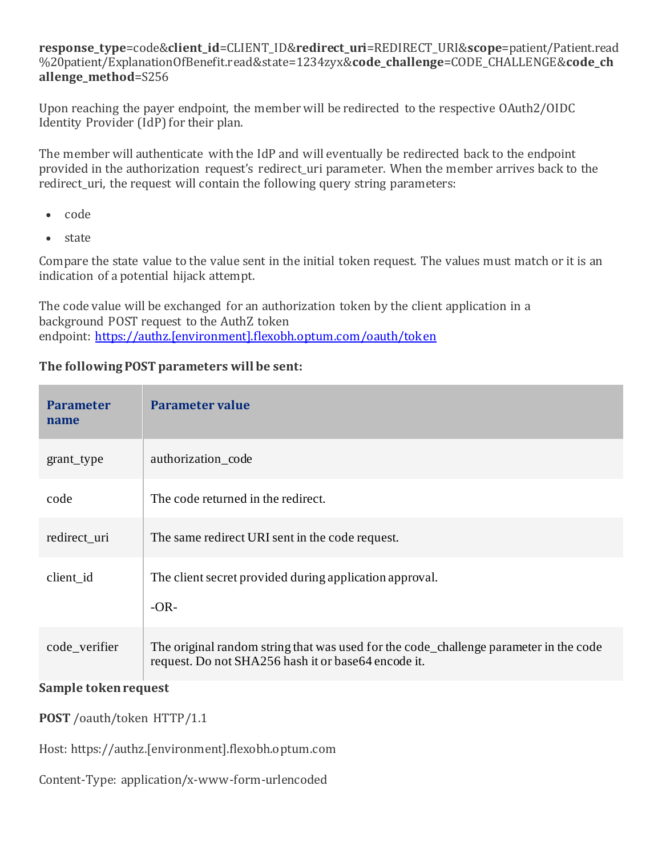**response\_type**=code&**client\_id**=CLIENT\_ID&**redirect\_uri**=REDIRECT\_URI&**scope**=patient/Patient.read %20patient/ExplanationOfBenefit.read&state=1234zyx&**code\_challenge**=CODE\_CHALLENGE&**code\_ch allenge\_method**=S256

Upon reaching the payer endpoint, the member will be redirected to the respective OAuth2/OIDC Identity Provider (IdP) for their plan.

The member will authenticate with the IdP and will eventually be redirected back to the endpoint provided in the authorization request's redirect\_uri parameter. When the member arrives back to the redirect\_uri, the request will contain the following query string parameters:

- code
- state

Compare the state value to the value sent in the initial token request. The values must match or it is an indication of a potential hijack attempt.

The code value will be exchanged for an authorization token by the client application in a background POST request to the AuthZ token endpoint: [https://authz.\[environment\].flexobh.optum.com/oauth/token](https://authz.[payer].flexobh.optum.com/oauth/token)

#### **The following POST parameters will be sent:**

| <b>Parameter</b><br>name | Parameter value                                                                                                                              |
|--------------------------|----------------------------------------------------------------------------------------------------------------------------------------------|
| grant_type               | authorization code                                                                                                                           |
| code                     | The code returned in the redirect.                                                                                                           |
| redirect_uri             | The same redirect URI sent in the code request.                                                                                              |
| client id                | The client secret provided during application approval.<br>$-OR-$                                                                            |
| code verifier            | The original random string that was used for the code_challenge parameter in the code<br>request. Do not SHA256 hash it or base64 encode it. |

#### **Sample token request**

**POST** /oauth/token HTTP/1.1

Host: https://authz.[environment].flexobh.optum.com

Content-Type: application/x-www-form-urlencoded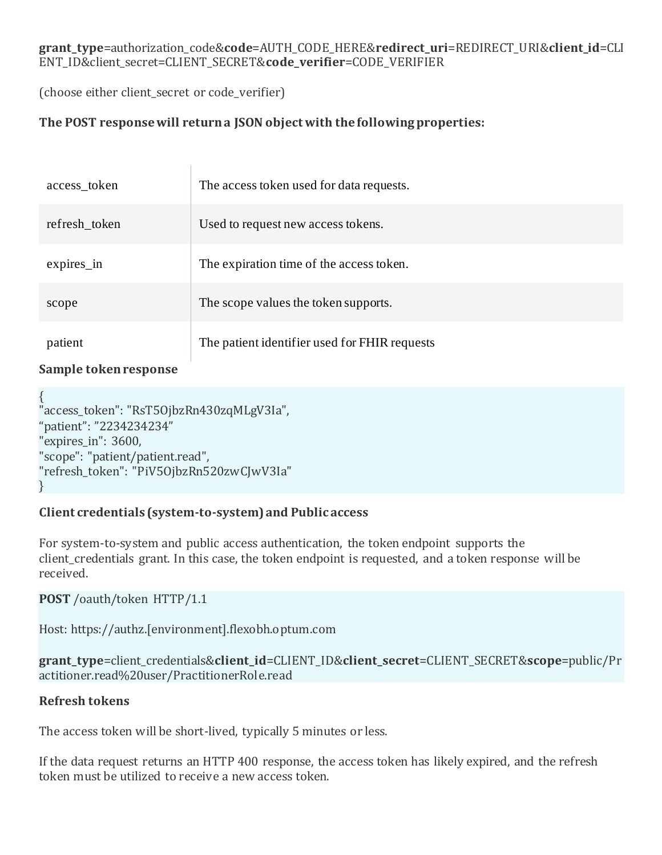#### **grant\_type**=authorization\_code&**code**=AUTH\_CODE\_HERE&**redirect\_uri**=REDIRECT\_URI&**client\_id**=CLI ENT\_ID&client\_secret=CLIENT\_SECRET&**code\_verifier**=CODE\_VERIFIER

(choose either client\_secret or code\_verifier)

#### **The POST response will return a JSON object with the following properties:**

| access_token  | The access token used for data requests.      |
|---------------|-----------------------------------------------|
| refresh_token | Used to request new access tokens.            |
| $expires_in$  | The expiration time of the access token.      |
| scope         | The scope values the token supports.          |
| patient       | The patient identifier used for FHIR requests |

#### **Sample token response**

{ "access\_token": "RsT5OjbzRn430zqMLgV3Ia", "patient": "2234234234" "expires in": 3600, "scope": "patient/patient.read", "refresh\_token": "PiV5OjbzRn520zwCJwV3Ia" }

#### **Client credentials (system-to-system) and Public access**

For system-to-system and public access authentication, the token endpoint supports the client credentials grant. In this case, the token endpoint is requested, and a token response will be received.

#### **POST** /oauth/token HTTP/1.1

Host: https://authz.[environment].flexobh.optum.com

**grant\_type**=client\_credentials&**client\_id**=CLIENT\_ID&**client\_secret**=CLIENT\_SECRET&**scope**=public/Pr actitioner.read%20user/PractitionerRole.read

#### **Refresh tokens**

The access token will be short-lived, typically 5 minutes or less.

If the data request returns an HTTP 400 response, the access token has likely expired, and the refresh token must be utilized to receive a new access token.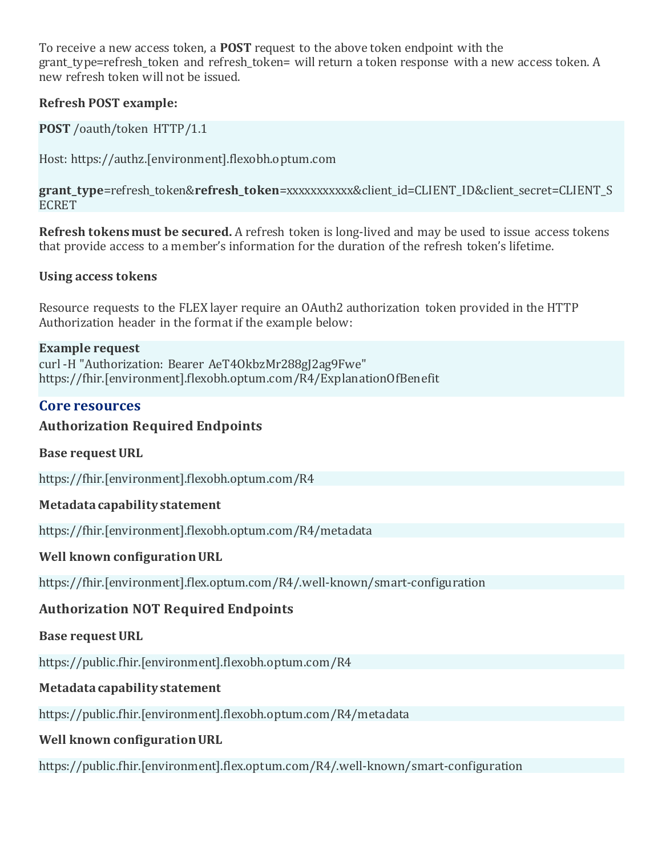To receive a new access token, a **POST** request to the above token endpoint with the grant type=refresh token and refresh token= will return a token response with a new access token. A new refresh token will not be issued.

#### **Refresh POST example:**

**POST** /oauth/token HTTP/1.1

Host: https://authz.[environment].flexobh.optum.com

**grant\_type**=refresh\_token&**refresh\_token**=xxxxxxxxxxx&client\_id=CLIENT\_ID&client\_secret=CLIENT\_S ECRET

**Refresh tokens must be secured.** A refresh token is long-lived and may be used to issue access tokens that provide access to a member's information for the duration of the refresh token's lifetime.

#### **Using access tokens**

Resource requests to the FLEX layer require an OAuth2 authorization token provided in the HTTP Authorization header in the format if the example below:

#### **Example request**

curl -H "Authorization: Bearer AeT4OkbzMr288gJ2ag9Fwe" https://fhir.[environment].flexobh.optum.com/R4/ExplanationOfBenefit

## **Core resources**

#### **Authorization Required Endpoints**

**Base request URL**

https://fhir.[environment].flexobh.optum.com/R4

#### **Metadata capability statement**

https://fhir.[environment].flexobh.optum.com/R4/metadata

#### **Well known configuration URL**

https://fhir.[environment].flex.optum.com/R4/.well-known/smart-configuration

#### **Authorization NOT Required Endpoints**

#### **Base request URL**

https://public.fhir.[environment].flexobh.optum.com/R4

#### **Metadata capability statement**

https://public.fhir.[environment].flexobh.optum.com/R4/metadata

#### **Well known configuration URL**

https://public.fhir.[environment].flex.optum.com/R4/.well-known/smart-configuration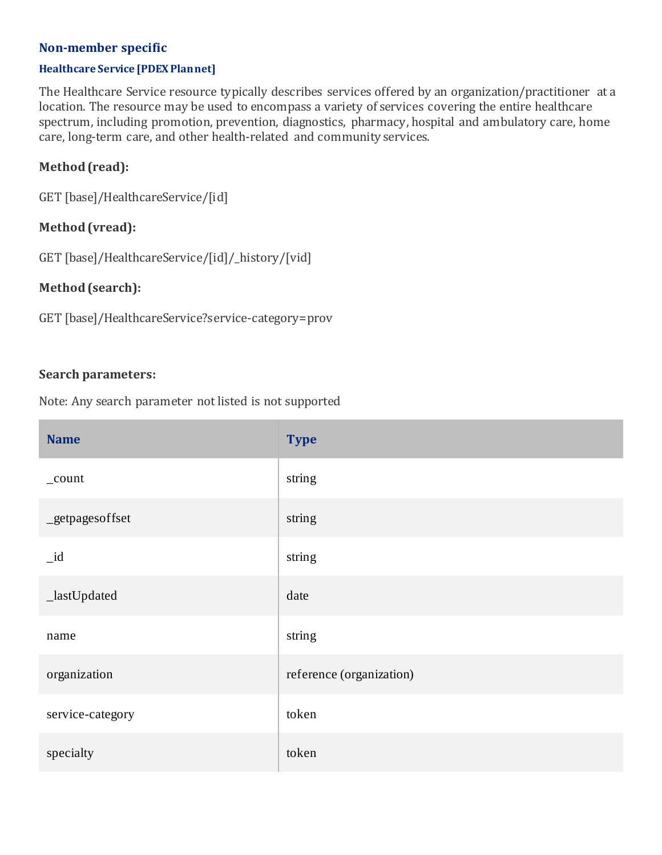#### **Non-member specific**

#### **Healthcare Service [PDEX Plan net]**

The Healthcare Service resource typically describes services offered by an organization/practitioner at a location. The resource may be used to encompass a variety of services covering the entire healthcare spectrum, including promotion, prevention, diagnostics, pharmacy, hospital and ambulatory care, home care, long-term care, and other health-related and community services.

#### **Method (read):**

GET [base]/HealthcareService/[id]

#### **Method (vread):**

GET [base]/HealthcareService/[id]/\_history/[vid]

#### **Method (search):**

GET [base]/HealthcareService?service-category=prov

#### **Search parameters:**

| <b>Name</b>      | <b>Type</b>              |
|------------------|--------------------------|
| _count           | string                   |
| _getpagesoffset  | string                   |
| $_id$            | string                   |
| _lastUpdated     | date                     |
| name             | string                   |
| organization     | reference (organization) |
| service-category | token                    |
| specialty        | token                    |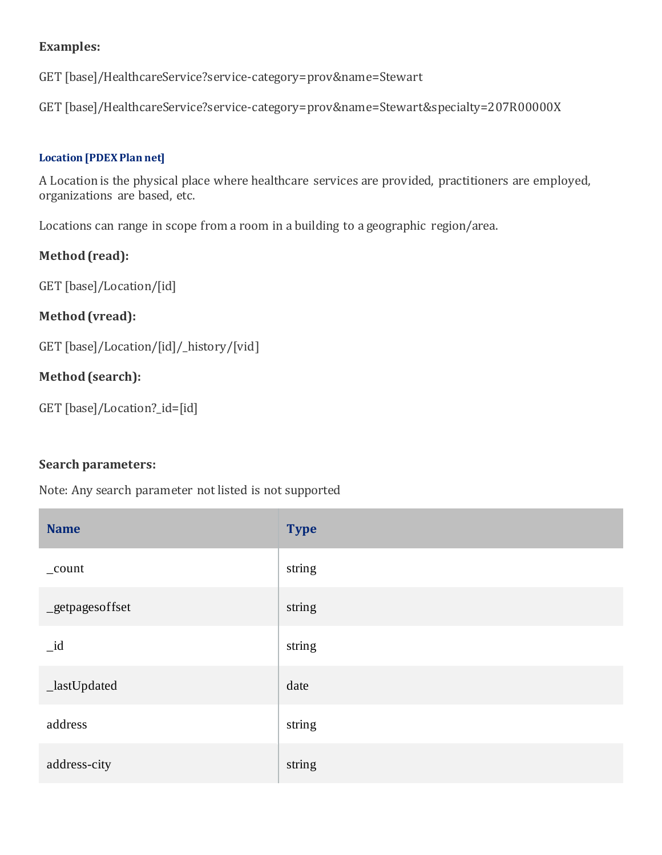GET [base]/HealthcareService?service-category=prov&name=Stewart

GET [base]/HealthcareService?service-category=prov&name=Stewart&specialty=207R00000X

#### **Location [PDEX Plan net]**

A Location is the physical place where healthcare services are provided, practitioners are employed, organizations are based, etc.

Locations can range in scope from a room in a building to a geographic region/area.

#### **Method (read):**

GET [base]/Location/[id]

#### **Method (vread):**

GET [base]/Location/[id]/\_history/[vid]

#### **Method (search):**

```
GET [base]/Location?_id=[id]
```
#### **Search parameters:**

| <b>Name</b>      | <b>Type</b> |
|------------------|-------------|
| $_{\rm \_count}$ | string      |
| _getpagesoffset  | string      |
| $_id$            | string      |
| _lastUpdated     | date        |
| address          | string      |
| address-city     | string      |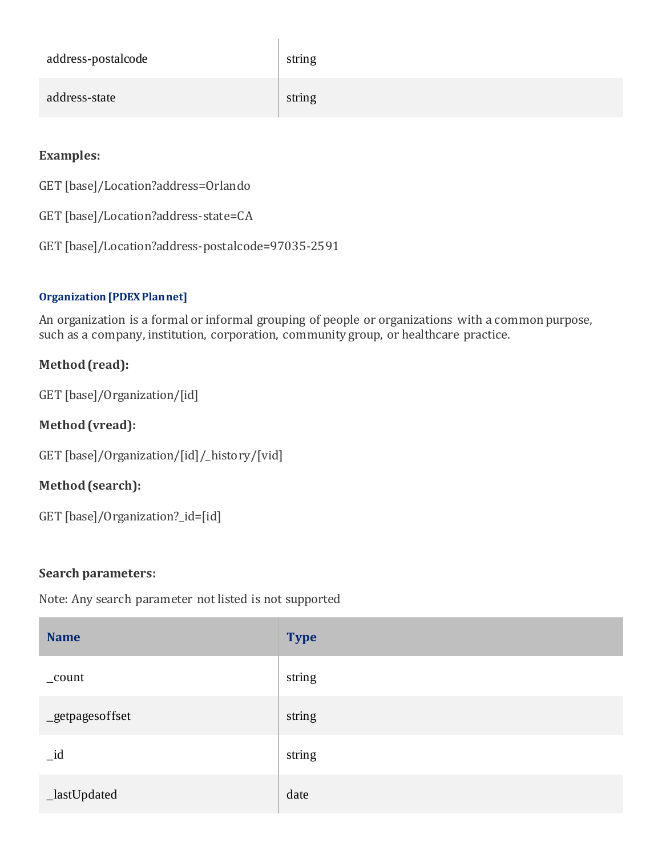| address-postalcode | string |
|--------------------|--------|
| address-state      | string |

GET [base]/Location?address=Orlando

GET [base]/Location?address-state=CA

GET [base]/Location?address-postalcode=97035-2591

#### **Organization [PDEX Plan net]**

An organization is a formal or informal grouping of people or organizations with a common purpose, such as a company, institution, corporation, community group, or healthcare practice.

## **Method (read):**

GET [base]/Organization/[id]

## **Method (vread):**

GET [base]/Organization/[id]/\_history/[vid]

## **Method (search):**

GET [base]/Organization?\_id=[id]

#### **Search parameters:**

| <b>Name</b>     | <b>Type</b> |
|-----------------|-------------|
| _count          | string      |
| _getpagesoffset | string      |
| $_id$           | string      |
| _lastUpdated    | date        |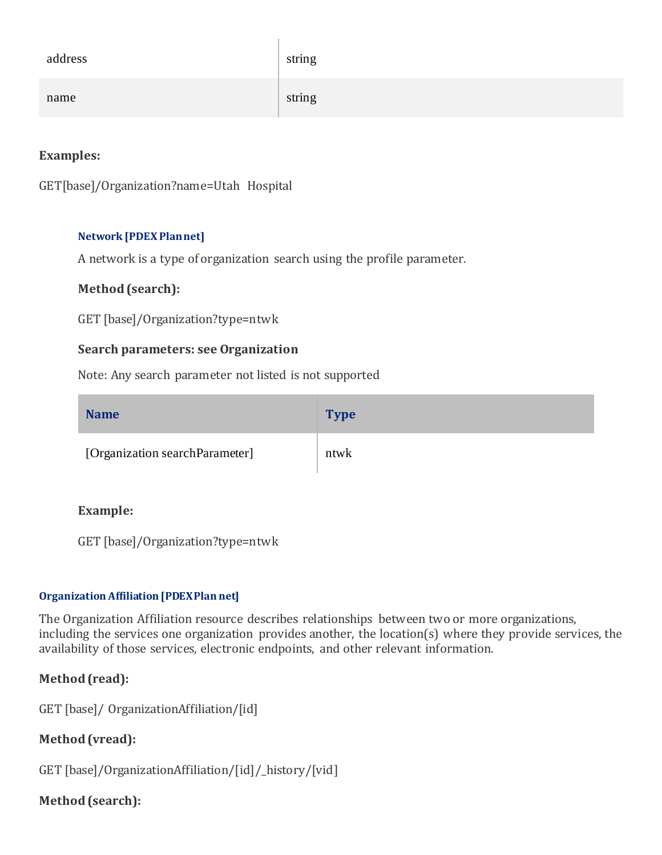| address | string |
|---------|--------|
| name    | string |

```
GET[base]/Organization?name=Utah Hospital
```
#### **Network [PDEX Plan net]**

A network is a type of organization search using the profile parameter.

#### **Method (search):**

GET [base]/Organization?type=ntwk

#### **Search parameters: see Organization**

Note: Any search parameter not listed is not supported

| <b>Name</b>                    | <b>Type</b> |
|--------------------------------|-------------|
| [Organization searchParameter] | ntwk        |

#### **Example:**

GET [base]/Organization?type=ntwk

#### **Organization Affiliation [PDEX Plan net]**

The Organization Affiliation resource describes relationships between two or more organizations, including the services one organization provides another, the location(s) where they provide services, the availability of those services, electronic endpoints, and other relevant information.

#### **Method (read):**

GET [base]/ OrganizationAffiliation/[id]

#### **Method (vread):**

GET [base]/OrganizationAffiliation/[id]/\_history/[vid]

#### **Method (search):**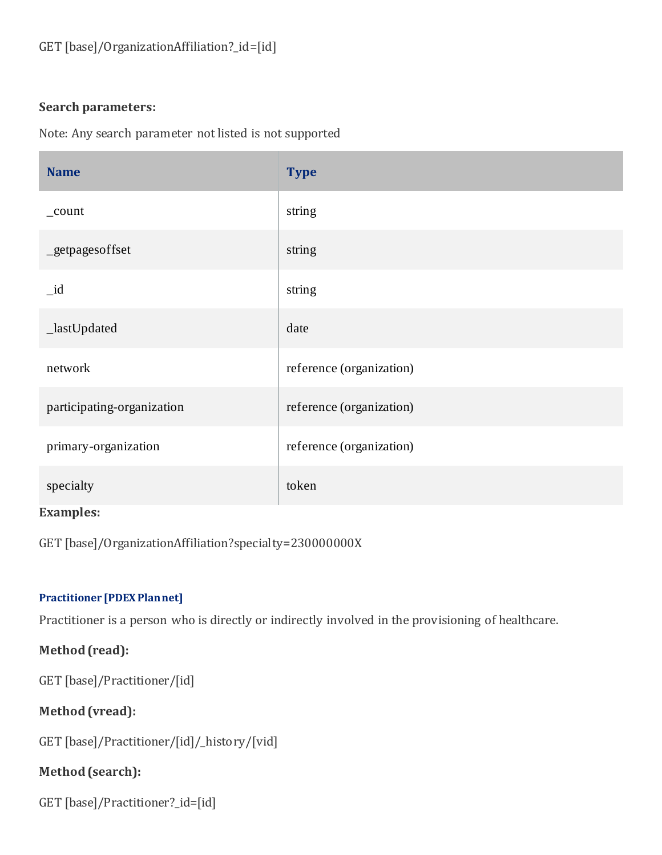#### **Search parameters:**

Note: Any search parameter not listed is not supported

| <b>Name</b>                | <b>Type</b>              |
|----------------------------|--------------------------|
| _count                     | string                   |
| _getpagesoffset            | string                   |
| $_id$                      | string                   |
| _lastUpdated               | date                     |
| network                    | reference (organization) |
| participating-organization | reference (organization) |
| primary-organization       | reference (organization) |
| specialty<br>---           | token                    |

#### **Examples:**

GET [base]/OrganizationAffiliation?specialty=230000000X

#### **Practitioner [PDEX Plan net]**

Practitioner is a person who is directly or indirectly involved in the provisioning of healthcare.

## **Method (read):**

GET [base]/Practitioner/[id]

## **Method (vread):**

GET [base]/Practitioner/[id]/\_history/[vid]

## **Method (search):**

```
GET [base]/Practitioner?_id=[id]
```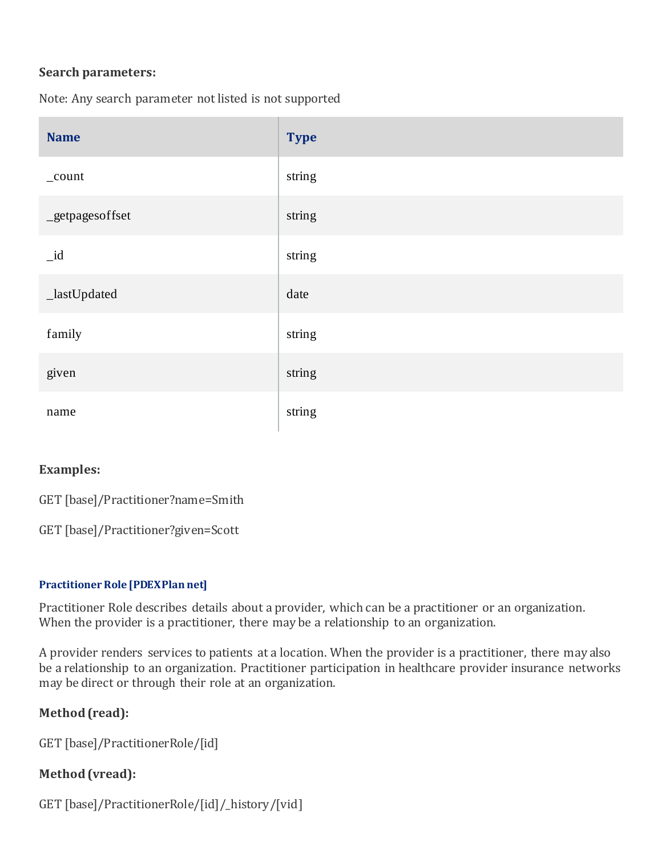#### **Search parameters:**

Note: Any search parameter not listed is not supported

| <b>Name</b>      | <b>Type</b> |
|------------------|-------------|
| $_{\rm \_count}$ | string      |
| _getpagesoffset  | string      |
| $_id$            | string      |
| _lastUpdated     | date        |
| family           | string      |
| given            | string      |
| name             | string      |

#### **Examples:**

GET [base]/Practitioner?name=Smith

GET [base]/Practitioner?given=Scott

#### **Practitioner Role [PDEX Plan net]**

Practitioner Role describes details about a provider, which can be a practitioner or an organization. When the provider is a practitioner, there may be a relationship to an organization.

A provider renders services to patients at a location. When the provider is a practitioner, there may also be a relationship to an organization. Practitioner participation in healthcare provider insurance networks may be direct or through their role at an organization.

#### **Method (read):**

GET [base]/PractitionerRole/[id]

#### **Method (vread):**

GET [base]/PractitionerRole/[id]/\_history/[vid]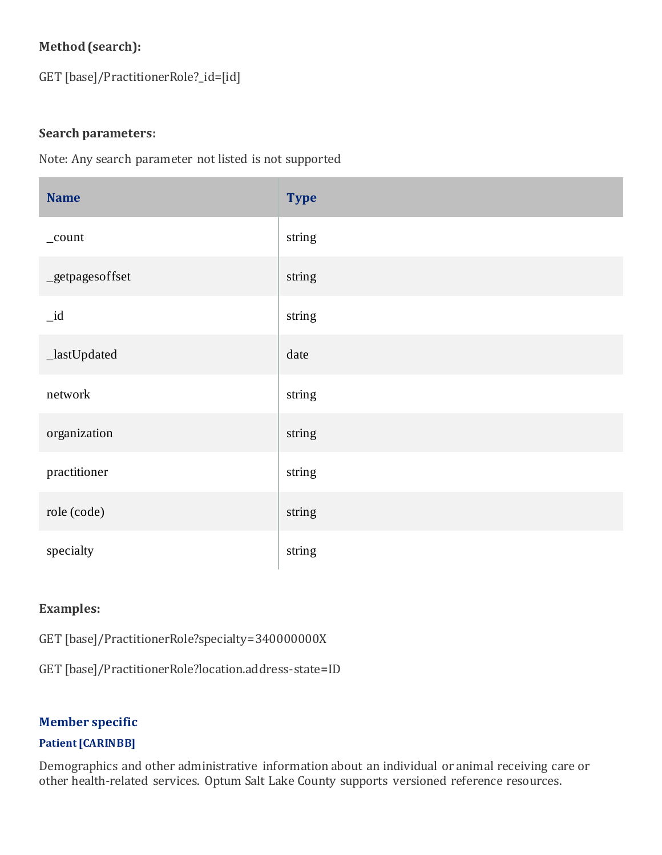## **Method (search):**

GET [base]/PractitionerRole?\_id=[id]

#### **Search parameters:**

Note: Any search parameter not listed is not supported

| <b>Name</b>     | <b>Type</b> |
|-----------------|-------------|
| _count          | string      |
| _getpagesoffset | string      |
| $_id$           | string      |
| _lastUpdated    | date        |
| network         | string      |
| organization    | string      |
| practitioner    | string      |
| role (code)     | string      |
| specialty       | string      |

## **Examples:**

GET [base]/PractitionerRole?specialty=340000000X

GET [base]/PractitionerRole?location.address-state=ID

#### **Member specific**

#### **Patient [CARIN BB]**

Demographics and other administrative information about an individual or animal receiving care or other health-related services. Optum Salt Lake County supports versioned reference resources.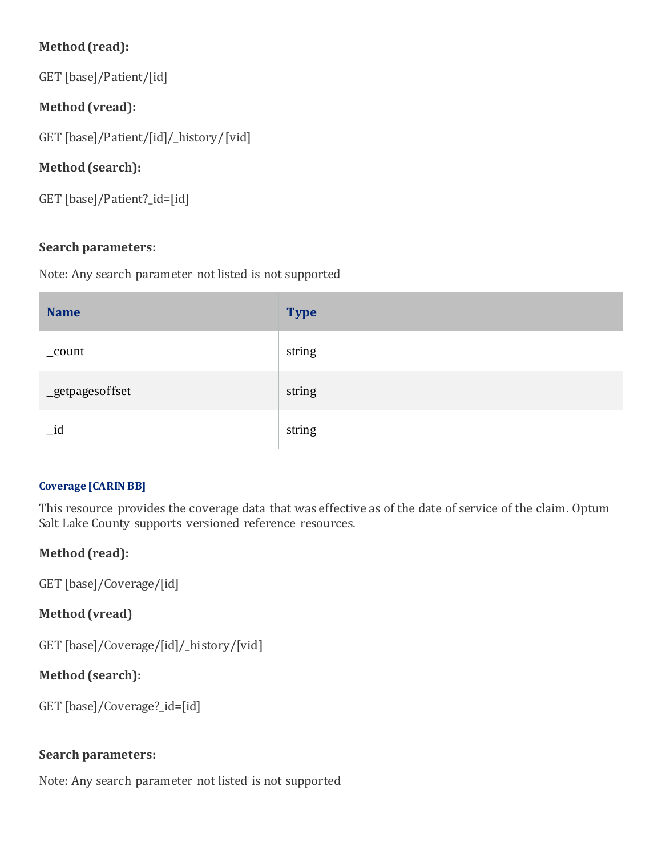## **Method (read):**

GET [base]/Patient/[id]

## **Method (vread):**

GET [base]/Patient/[id]/\_history/[vid]

## **Method (search):**

GET [base]/Patient?\_id=[id]

## **Search parameters:**

Note: Any search parameter not listed is not supported

| <b>Name</b>     | <b>Type</b> |
|-----------------|-------------|
| $_{\rm count}$  | string      |
| _getpagesoffset | string      |
| $_id$           | string      |

## **Coverage [CARIN BB]**

This resource provides the coverage data that was effective as of the date of service of the claim. Optum Salt Lake County supports versioned reference resources.

## **Method (read):**

GET [base]/Coverage/[id]

## **Method (vread)**

GET [base]/Coverage/[id]/\_history/[vid]

## **Method (search):**

GET [base]/Coverage?\_id=[id]

## **Search parameters:**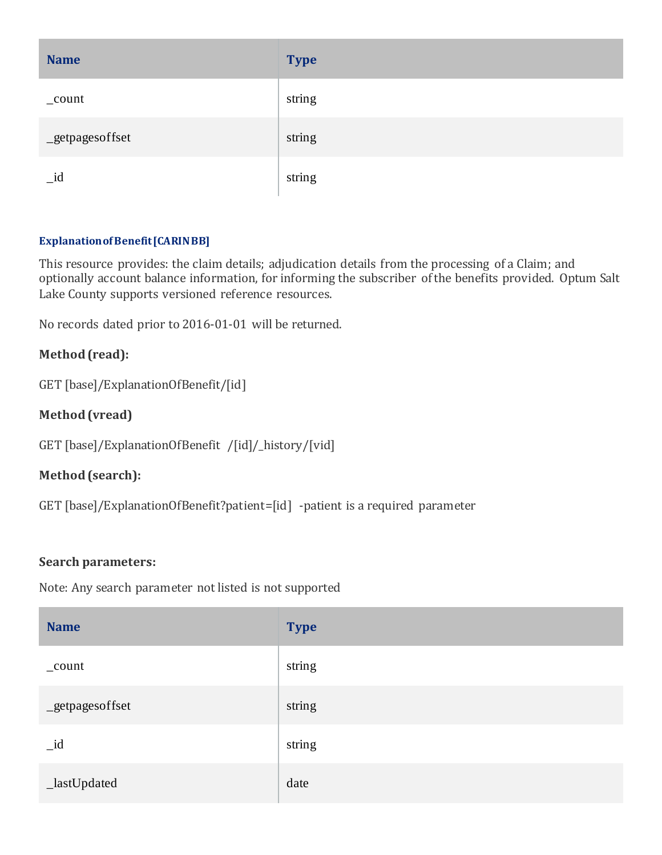| <b>Name</b>     | <b>Type</b> |
|-----------------|-------------|
| _count          | string      |
| _getpagesoffset | string      |
| $_id$           | string      |

#### **Explanation of Benefit [CARIN BB]**

This resource provides: the claim details; adjudication details from the processing of a Claim; and optionally account balance information, for informing the subscriber of the benefits provided. Optum Salt Lake County supports versioned reference resources.

No records dated prior to 2016-01-01 will be returned.

#### **Method (read):**

GET [base]/ExplanationOfBenefit/[id]

#### **Method (vread)**

GET [base]/ExplanationOfBenefit /[id]/\_history/[vid]

#### **Method (search):**

GET [base]/ExplanationOfBenefit?patient=[id] -patient is a required parameter

#### **Search parameters:**

| <b>Name</b>     | <b>Type</b> |
|-----------------|-------------|
| $_{\rm count}$  | string      |
| _getpagesoffset | string      |
| $_id$           | string      |
| _lastUpdated    | date        |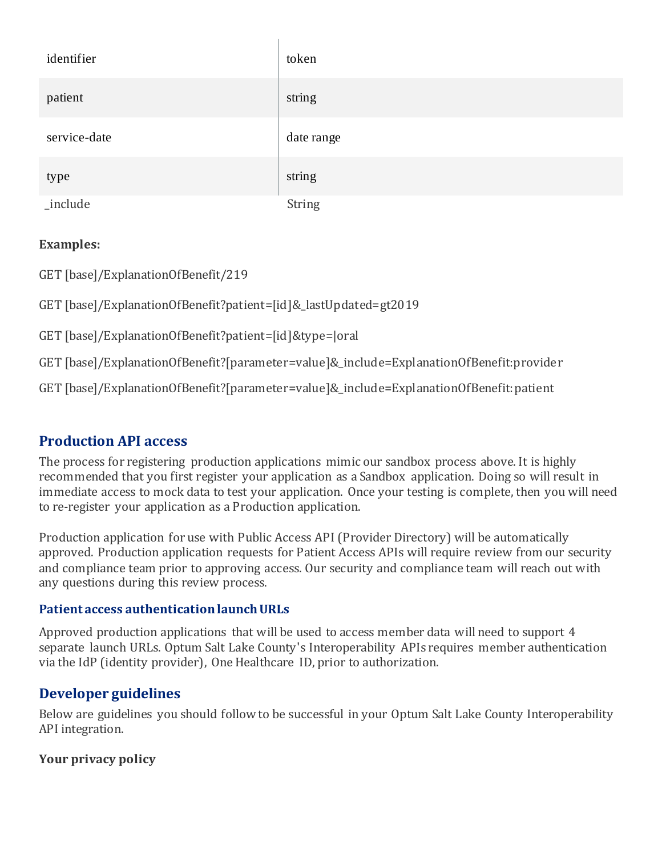| identifier   | token      |
|--------------|------------|
| patient      | string     |
| service-date | date range |
| type         | string     |
| _include     | String     |

GET [base]/ExplanationOfBenefit/219

GET [base]/ExplanationOfBenefit?patient=[id]&\_lastUpdated=gt2019

GET [base]/ExplanationOfBenefit?patient=[id]&type=|oral

GET [base]/ExplanationOfBenefit?[parameter=value]&\_include=ExplanationOfBenefit:provider

GET [base]/ExplanationOfBenefit?[parameter=value]&\_include=ExplanationOfBenefit:patient

## **Production API access**

The process for registering production applications mimic our sandbox process above. It is highly recommended that you first register your application as a Sandbox application. Doing so will result in immediate access to mock data to test your application. Once your testing is complete, then you will need to re-register your application as a Production application.

Production application for use with Public Access API (Provider Directory) will be automatically approved. Production application requests for Patient Access APIs will require review from our security and compliance team prior to approving access. Our security and compliance team will reach out with any questions during this review process.

#### **Patient access authentication launch URLs**

Approved production applications that will be used to access member data will need to support 4 separate launch URLs. Optum Salt Lake County's Interoperability APIs requires member authentication via the IdP (identity provider), One Healthcare ID, prior to authorization.

## **Developer guidelines**

Below are guidelines you should follow to be successful in your Optum Salt Lake County Interoperability API integration.

## **Your privacy policy**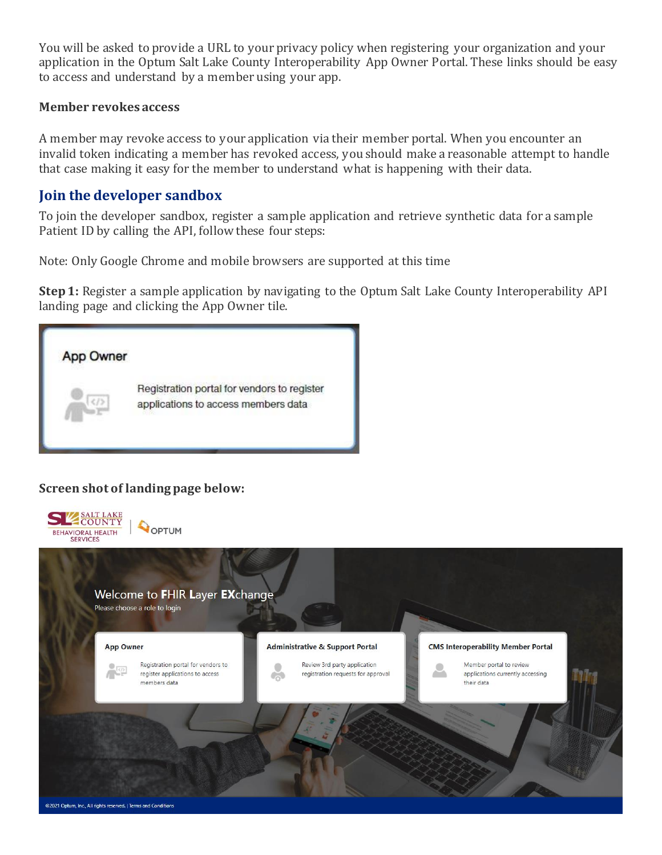You will be asked to provide a URL to your privacy policy when registering your organization and your application in the Optum Salt Lake County Interoperability App Owner Portal. These links should be easy to access and understand by a member using your app.

#### **Member revokes access**

A member may revoke access to your application via their member portal. When you encounter an invalid token indicating a member has revoked access, you should make a reasonable attempt to handle that case making it easy for the member to understand what is happening with their data.

#### **Join the developer sandbox**

To join the developer sandbox, register a sample application and retrieve synthetic data for a sample Patient ID by calling the API, follow these four steps:

Note: Only Google Chrome and mobile browsers are supported at this time

**Step 1:** Register a sample application by navigating to the Optum Salt Lake County Interoperability API landing page and clicking the App Owner tile.



#### **Screen shot of landing page below:**

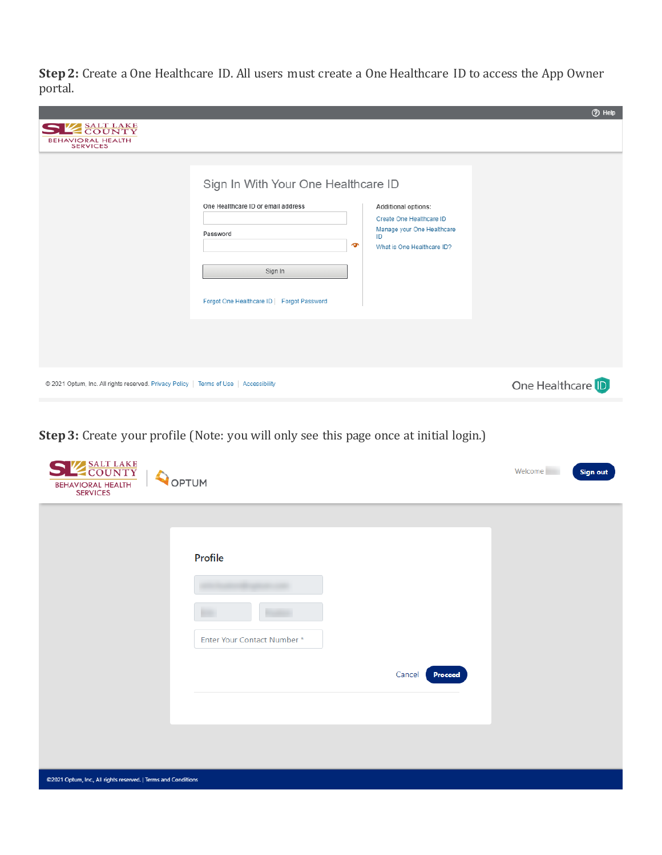**Step 2:** Create a One Healthcare ID. All users must create a One Healthcare ID to access the App Owner portal.

|                                                                                       |                                                                                                                                                                                                                                                                                  |                  | <b>O</b> Help |
|---------------------------------------------------------------------------------------|----------------------------------------------------------------------------------------------------------------------------------------------------------------------------------------------------------------------------------------------------------------------------------|------------------|---------------|
| <b>ESALT LAKE</b><br><b>BEHAVIORAL HEALTH</b><br><b>SERVICES</b>                      |                                                                                                                                                                                                                                                                                  |                  |               |
|                                                                                       | Sign In With Your One Healthcare ID<br>One Healthcare ID or email address<br>Additional options:<br>Create One Healthcare ID<br>Manage your One Healthcare<br>Password<br>ID<br>$\bullet$<br>What is One Healthcare ID?<br>Sign In<br>Forgot One Healthcare ID   Forgot Password |                  |               |
|                                                                                       |                                                                                                                                                                                                                                                                                  |                  |               |
| © 2021 Optum, Inc. All rights reserved. Privacy Policy   Terms of Use   Accessibility |                                                                                                                                                                                                                                                                                  | One Healthcare D |               |

**Step 3:** Create your profile (Note: you will only see this page once at initial login.)

| SE SALT LAKE<br>OPTUM<br><b>BEHAVIORAL HEALTH</b><br><b>SERVICES</b> |                                        |                   | Welcome<br><b>Sign out</b> |
|----------------------------------------------------------------------|----------------------------------------|-------------------|----------------------------|
|                                                                      | Profile<br>Enter Your Contact Number * | Cancel<br>Proceed |                            |
| @2021 Optum, Inc., All rights reserved.   Terms and Conditions       |                                        |                   |                            |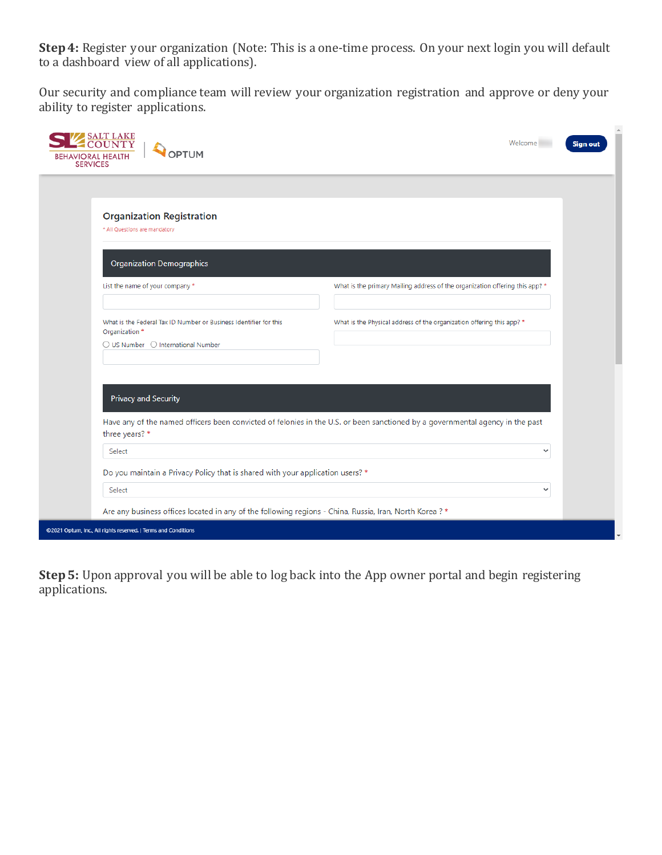**Step 4:** Register your organization (Note: This is a one-time process. On your next login you will default to a dashboard view of all applications).

Our security and compliance team will review your organization registration and approve or deny your ability to register applications.

| <b>SALT LAKE</b><br>OPTUM<br><b>BEHAVIORAL HEALTH</b><br><b>SERVICES</b>                                                                    | Welcome<br><b>Sign out</b>                                                                                                    |
|---------------------------------------------------------------------------------------------------------------------------------------------|-------------------------------------------------------------------------------------------------------------------------------|
|                                                                                                                                             |                                                                                                                               |
| <b>Organization Registration</b><br>* All Questions are mandatory                                                                           |                                                                                                                               |
| <b>Organization Demographics</b>                                                                                                            |                                                                                                                               |
| List the name of your company *                                                                                                             | What is the primary Mailing address of the organization offering this app? *                                                  |
| What is the Federal Tax ID Number or Business Identifier for this<br>Organization *<br>$\bigcirc$ US Number $\bigcirc$ International Number | What is the Physical address of the organization offering this app? *                                                         |
|                                                                                                                                             |                                                                                                                               |
| Privacy and Security<br>three years? *                                                                                                      | Have any of the named officers been convicted of felonies in the U.S. or been sanctioned by a governmental agency in the past |
| Select                                                                                                                                      | ◡                                                                                                                             |
| Do you maintain a Privacy Policy that is shared with your application users? *                                                              |                                                                                                                               |
| Select                                                                                                                                      | $\checkmark$                                                                                                                  |
| Are any business offices located in any of the following regions - China, Russia, Iran, North Korea ? *                                     |                                                                                                                               |
| @2021 Optum, Inc., All rights reserved.   Terms and Conditions                                                                              |                                                                                                                               |

**Step 5:** Upon approval you will be able to log back into the App owner portal and begin registering applications.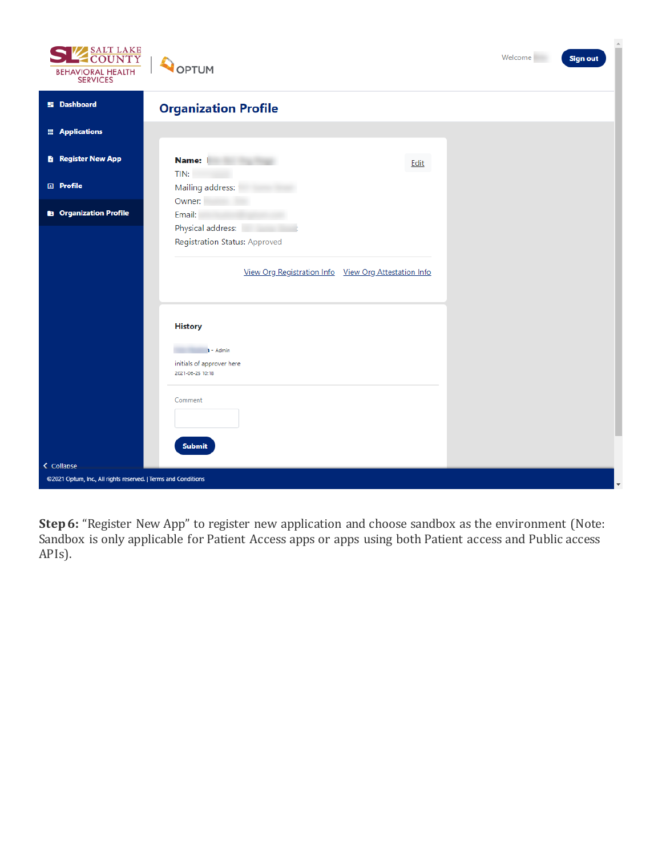





| <b>SERVICES</b>                                                              |                                                      |                          |
|------------------------------------------------------------------------------|------------------------------------------------------|--------------------------|
| <b>Si</b> Dashboard                                                          | <b>Organization Profile</b>                          |                          |
| <b>E</b> Applications                                                        |                                                      |                          |
| <b>B</b> Register New App                                                    | Name:<br><b>CONTRACTOR</b><br>Edit                   |                          |
| <b>国</b> Profile                                                             | TIN:<br>Mailing address:                             |                          |
|                                                                              | Owner:                                               |                          |
| <b>B</b> Organization Profile                                                | Email:                                               |                          |
|                                                                              | Physical address:                                    |                          |
|                                                                              | <b>Registration Status: Approved</b>                 |                          |
|                                                                              |                                                      |                          |
|                                                                              | View Org Registration Info View Org Attestation Info |                          |
|                                                                              |                                                      |                          |
|                                                                              |                                                      |                          |
|                                                                              | <b>History</b>                                       |                          |
|                                                                              |                                                      |                          |
|                                                                              | $\mathbf{1}$ - Admin                                 |                          |
|                                                                              | initials of approver here<br>2021-06-25 10:18        |                          |
|                                                                              |                                                      |                          |
|                                                                              | Comment                                              |                          |
|                                                                              |                                                      |                          |
|                                                                              |                                                      |                          |
|                                                                              | <b>Submit</b>                                        |                          |
|                                                                              |                                                      |                          |
| < Collapse<br>@2021 Optum, Inc., All rights reserved.   Terms and Conditions |                                                      |                          |
|                                                                              |                                                      | $\overline{\phantom{a}}$ |

**Step 6:** "Register New App" to register new application and choose sandbox as the environment (Note: Sandbox is only applicable for Patient Access apps or apps using both Patient access and Public access APIs).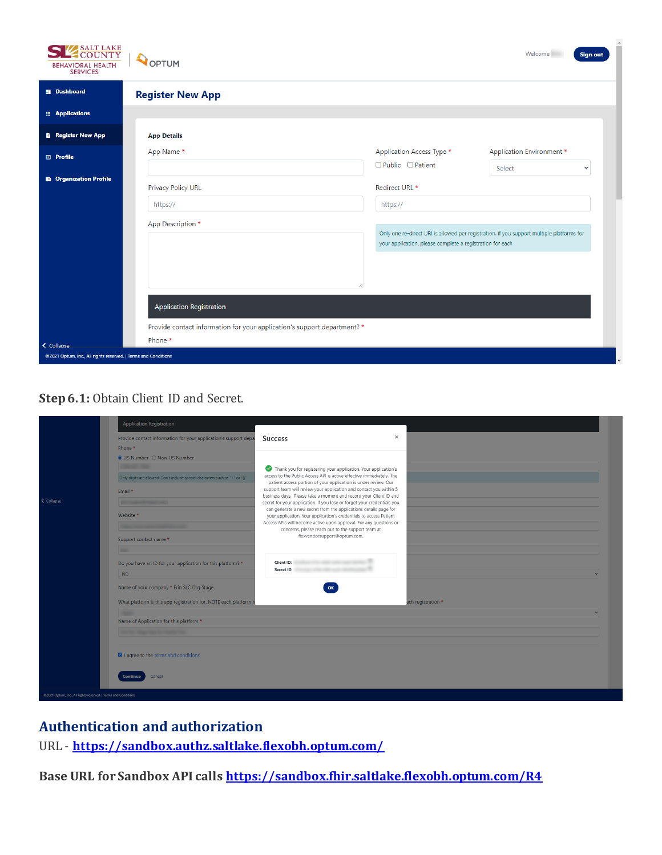| SALT LAKE<br><b>BEHAVIORAL HEALTH</b><br><b>SERVICES</b>       | OPTUM                                                                                                                            |                                                           | Welcome<br><b>Sign out</b>                                                                |
|----------------------------------------------------------------|----------------------------------------------------------------------------------------------------------------------------------|-----------------------------------------------------------|-------------------------------------------------------------------------------------------|
| <b>57 Dashboard</b>                                            | <b>Register New App</b>                                                                                                          |                                                           |                                                                                           |
| <b>E</b> Applications                                          |                                                                                                                                  |                                                           |                                                                                           |
| <b>B</b> Register New App                                      | <b>App Details</b>                                                                                                               |                                                           |                                                                                           |
| <b>日</b> Profile                                               | App Name*                                                                                                                        | Application Access Type *                                 | <b>Application Environment *</b>                                                          |
|                                                                |                                                                                                                                  | $\Box$ Public $\Box$ Patient                              | Select<br>$\checkmark$                                                                    |
| <b>B</b> Organization Profile                                  | <b>Privacy Policy URL</b>                                                                                                        | Redirect URL *                                            |                                                                                           |
|                                                                | https://                                                                                                                         | https://                                                  |                                                                                           |
|                                                                | App Description *<br><b>Application Registration</b><br>Provide contact information for your application's support department? * | your application, please complete a registration for each | Only one re-direct URI is allowed per registration. if you support multiple platforms for |
| < Collapse                                                     | Phone *                                                                                                                          |                                                           |                                                                                           |
| @2021 Optum, Inc., All rights reserved.   Terms and Conditions |                                                                                                                                  |                                                           |                                                                                           |

#### **Step 6.1:** Obtain Client ID and Secret.

|                                                                | <b>Application Registration</b>                                                                              |                                                                                                                                                                                                                                                                                                                                                                                                                                                                                                       |                    |  |
|----------------------------------------------------------------|--------------------------------------------------------------------------------------------------------------|-------------------------------------------------------------------------------------------------------------------------------------------------------------------------------------------------------------------------------------------------------------------------------------------------------------------------------------------------------------------------------------------------------------------------------------------------------------------------------------------------------|--------------------|--|
|                                                                | Provide contact information for your application's support depa<br>Phone *                                   | $\times$<br><b>Success</b>                                                                                                                                                                                                                                                                                                                                                                                                                                                                            |                    |  |
|                                                                | ● US Number ○ Non-US Number<br><b>The Contract Contract</b>                                                  | Thank you for registering your application. Your application's<br>access to the Public Access API is active effective immediately. The                                                                                                                                                                                                                                                                                                                                                                |                    |  |
| ← Collapse                                                     | Only digits are allowed. Don't include special characters such as "+" or "0"<br>Email *<br><b>STATISTICS</b> | patient access portion of your application is under review. Our<br>support team will review your application and contact you within 5<br>business days. Please take a moment and record your Client ID and<br>secret for your application. If you lose or forget your credentials you<br>can generate a new secret from the applications details page for<br>your application. Your application's credentials to access Patient<br>Access APIs will become active upon approval. For any questions or |                    |  |
|                                                                | Website *<br><b>Charles Committee Committee Committee</b>                                                    |                                                                                                                                                                                                                                                                                                                                                                                                                                                                                                       |                    |  |
|                                                                | Support contact name *                                                                                       | concerns, please reach out to the support team at<br>flexvendorsupport@optum.com.                                                                                                                                                                                                                                                                                                                                                                                                                     |                    |  |
|                                                                | Do you have an ID for your application for this platform? *<br>NO.                                           | Client ID:<br>Secret ID:                                                                                                                                                                                                                                                                                                                                                                                                                                                                              | $\checkmark$       |  |
|                                                                | Name of your company * Erin SLC Org Stage                                                                    | OK                                                                                                                                                                                                                                                                                                                                                                                                                                                                                                    |                    |  |
|                                                                | What platform is this app registration for. NOTE each platform r                                             |                                                                                                                                                                                                                                                                                                                                                                                                                                                                                                       | ach registration * |  |
|                                                                | Name of Application for this platform *                                                                      |                                                                                                                                                                                                                                                                                                                                                                                                                                                                                                       | $\mathbf{v}$       |  |
|                                                                | <b>STATISTICS COMPANY FOR THE CONTROL FOR</b>                                                                |                                                                                                                                                                                                                                                                                                                                                                                                                                                                                                       |                    |  |
|                                                                | I agree to the terms and conditions                                                                          |                                                                                                                                                                                                                                                                                                                                                                                                                                                                                                       |                    |  |
|                                                                | Cancel<br><b>Continue</b>                                                                                    |                                                                                                                                                                                                                                                                                                                                                                                                                                                                                                       |                    |  |
| @2021 Optum, Inc., All rights reserved.   Terms and Conditions |                                                                                                              |                                                                                                                                                                                                                                                                                                                                                                                                                                                                                                       |                    |  |

## **Authentication and authorization**

URL - **<https://sandbox.authz.saltlake.flexobh.optum.com/>**

**Base URL for Sandbox API calls <https://sandbox.fhir.saltlake.flexobh.optum.com/R4>**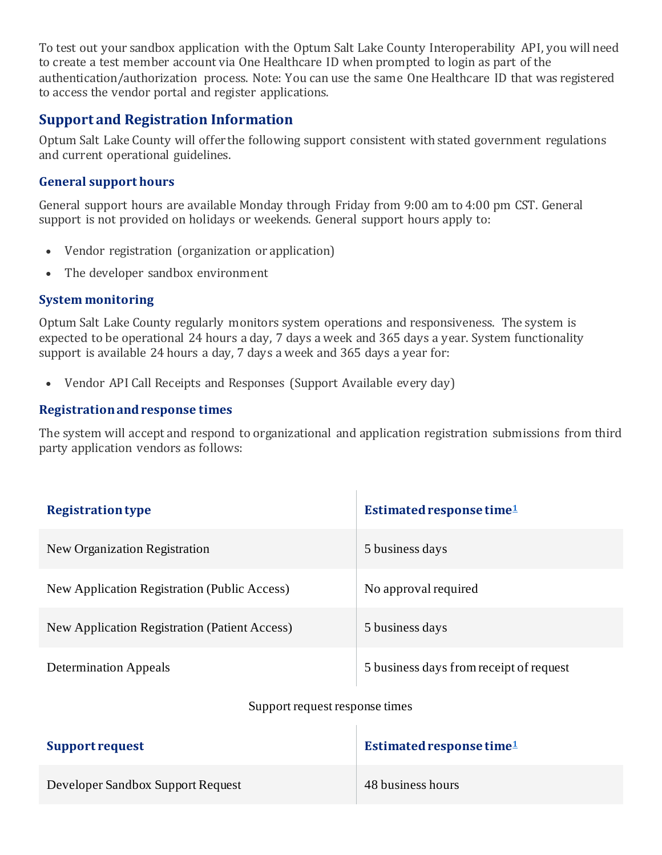To test out your sandbox application with the Optum Salt Lake County Interoperability API, you will need to create a test member account via One Healthcare ID when prompted to login as part of the authentication/authorization process. Note: You can use the same One Healthcare ID that was registered to access the vendor portal and register applications.

## **Support and Registration Information**

Optum Salt Lake County will offer the following support consistent with stated government regulations and current operational guidelines.

#### **General support hours**

General support hours are available Monday through Friday from 9:00 am to 4:00 pm CST. General support is not provided on holidays or weekends. General support hours apply to:

- Vendor registration (organization or application)
- The developer sandbox environment

#### **System monitoring**

Optum Salt Lake County regularly monitors system operations and responsiveness. The system is expected to be operational 24 hours a day, 7 days a week and 365 days a year. System functionality support is available 24 hours a day, 7 days a week and 365 days a year for:

• Vendor API Call Receipts and Responses (Support Available every day)

#### **Registration and response times**

The system will accept and respond to organizational and application registration submissions from third party application vendors as follows:

| <b>Registration type</b>                      | Estimated response time <sup>1</sup>    |
|-----------------------------------------------|-----------------------------------------|
| New Organization Registration                 | 5 business days                         |
| New Application Registration (Public Access)  | No approval required                    |
| New Application Registration (Patient Access) | 5 business days                         |
| <b>Determination Appeals</b>                  | 5 business days from receipt of request |

#### Support request response times

Ŷ.

| Support request                   | Estimated response time $1$ |
|-----------------------------------|-----------------------------|
| Developer Sandbox Support Request | 48 business hours           |